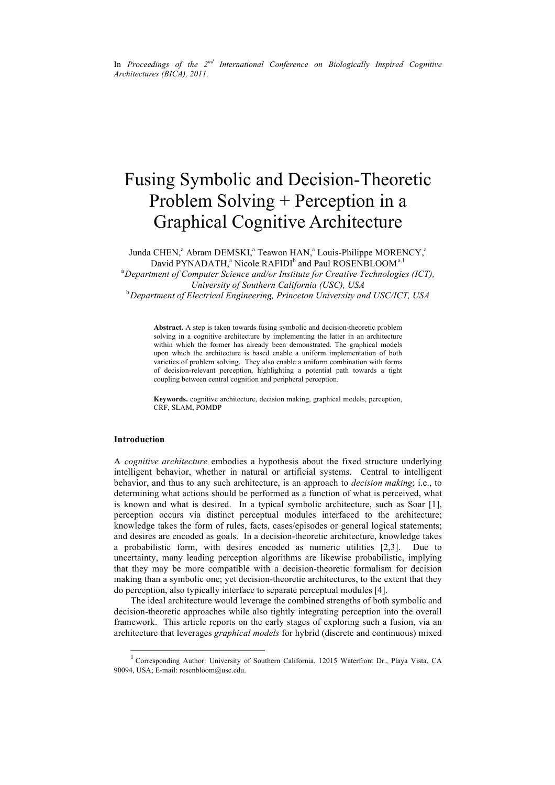In *Proceedings of the 2nd International Conference on Biologically Inspired Cognitive Architectures (BICA), 2011.*

# Fusing Symbolic and Decision-Theoretic Problem Solving + Perception in a Graphical Cognitive Architecture

Junda CHEN,<sup>a</sup> Abram DEMSKI,<sup>a</sup> Teawon HAN,<sup>a</sup> Louis-Philippe MORENCY,<sup>a</sup> David PYNADATH,<sup>a</sup> Nicole RAFIDI<sup>b</sup> and Paul ROSENBLOOM<sup>a,1</sup> a *Department of Computer Science and/or Institute for Creative Technologies (ICT), University of Southern California (USC), USA*

b *Department of Electrical Engineering, Princeton University and USC/ICT, USA*

**Abstract.** A step is taken towards fusing symbolic and decision-theoretic problem solving in a cognitive architecture by implementing the latter in an architecture within which the former has already been demonstrated. The graphical models upon which the architecture is based enable a uniform implementation of both varieties of problem solving. They also enable a uniform combination with forms of decision-relevant perception, highlighting a potential path towards a tight coupling between central cognition and peripheral perception.

**Keywords.** cognitive architecture, decision making, graphical models, perception, CRF, SLAM, POMDP

## **Introduction**

A *cognitive architecture* embodies a hypothesis about the fixed structure underlying intelligent behavior, whether in natural or artificial systems. Central to intelligent behavior, and thus to any such architecture, is an approach to *decision making*; i.e., to determining what actions should be performed as a function of what is perceived, what is known and what is desired. In a typical symbolic architecture, such as Soar [1], perception occurs via distinct perceptual modules interfaced to the architecture; knowledge takes the form of rules, facts, cases/episodes or general logical statements; and desires are encoded as goals. In a decision-theoretic architecture, knowledge takes a probabilistic form, with desires encoded as numeric utilities [2,3]. Due to uncertainty, many leading perception algorithms are likewise probabilistic, implying that they may be more compatible with a decision-theoretic formalism for decision making than a symbolic one; yet decision-theoretic architectures, to the extent that they do perception, also typically interface to separate perceptual modules [4].

The ideal architecture would leverage the combined strengths of both symbolic and decision-theoretic approaches while also tightly integrating perception into the overall framework. This article reports on the early stages of exploring such a fusion, via an architecture that leverages *graphical models* for hybrid (discrete and continuous) mixed

<sup>&</sup>lt;sup>1</sup> Corresponding Author: University of Southern California, 12015 Waterfront Dr., Playa Vista, CA 90094, USA; E-mail: rosenbloom@usc.edu.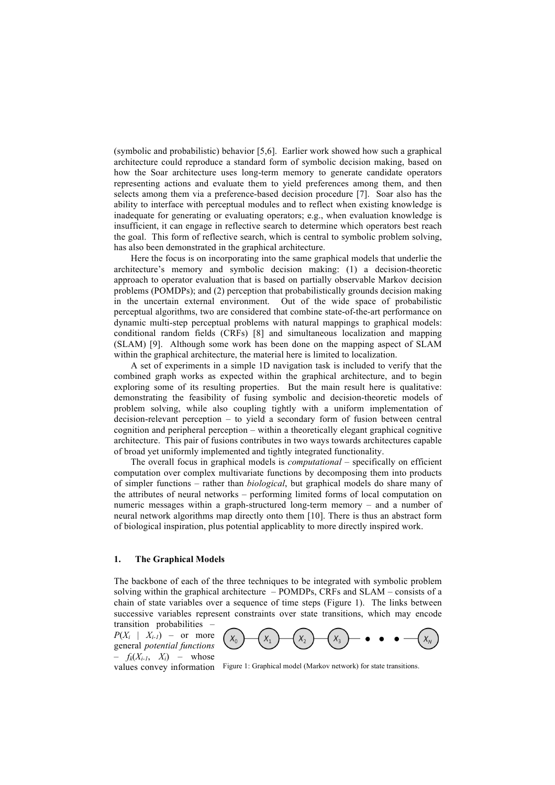(symbolic and probabilistic) behavior [5,6]. Earlier work showed how such a graphical architecture could reproduce a standard form of symbolic decision making, based on how the Soar architecture uses long-term memory to generate candidate operators representing actions and evaluate them to yield preferences among them, and then selects among them via a preference-based decision procedure [7]. Soar also has the ability to interface with perceptual modules and to reflect when existing knowledge is inadequate for generating or evaluating operators; e.g., when evaluation knowledge is insufficient, it can engage in reflective search to determine which operators best reach the goal. This form of reflective search, which is central to symbolic problem solving, has also been demonstrated in the graphical architecture.

Here the focus is on incorporating into the same graphical models that underlie the architecture's memory and symbolic decision making: (1) a decision-theoretic approach to operator evaluation that is based on partially observable Markov decision problems (POMDPs); and (2) perception that probabilistically grounds decision making in the uncertain external environment. Out of the wide space of probabilistic perceptual algorithms, two are considered that combine state-of-the-art performance on dynamic multi-step perceptual problems with natural mappings to graphical models: conditional random fields (CRFs) [8] and simultaneous localization and mapping (SLAM) [9]. Although some work has been done on the mapping aspect of SLAM within the graphical architecture, the material here is limited to localization.

A set of experiments in a simple 1D navigation task is included to verify that the combined graph works as expected within the graphical architecture, and to begin exploring some of its resulting properties. But the main result here is qualitative: demonstrating the feasibility of fusing symbolic and decision-theoretic models of problem solving, while also coupling tightly with a uniform implementation of decision-relevant perception – to yield a secondary form of fusion between central cognition and peripheral perception – within a theoretically elegant graphical cognitive architecture. This pair of fusions contributes in two ways towards architectures capable of broad yet uniformly implemented and tightly integrated functionality.

The overall focus in graphical models is *computational* – specifically on efficient computation over complex multivariate functions by decomposing them into products of simpler functions – rather than *biological*, but graphical models do share many of the attributes of neural networks – performing limited forms of local computation on numeric messages within a graph-structured long-term memory – and a number of neural network algorithms map directly onto them [10]. There is thus an abstract form of biological inspiration, plus potential applicablity to more directly inspired work.

## **1. The Graphical Models**

The backbone of each of the three techniques to be integrated with symbolic problem solving within the graphical architecture – POMDPs, CRFs and SLAM – consists of a chain of state variables over a sequence of time steps (Figure 1). The links between successive variables represent constraints over state transitions, which may encode transition probabilities –

 $P(X_i \mid X_{i-1})$  – or more general *potential functions*  $f_k(X_{i-1}, X_i)$  – whose



values convey information Figure 1: Graphical model (Markov network) for state transitions.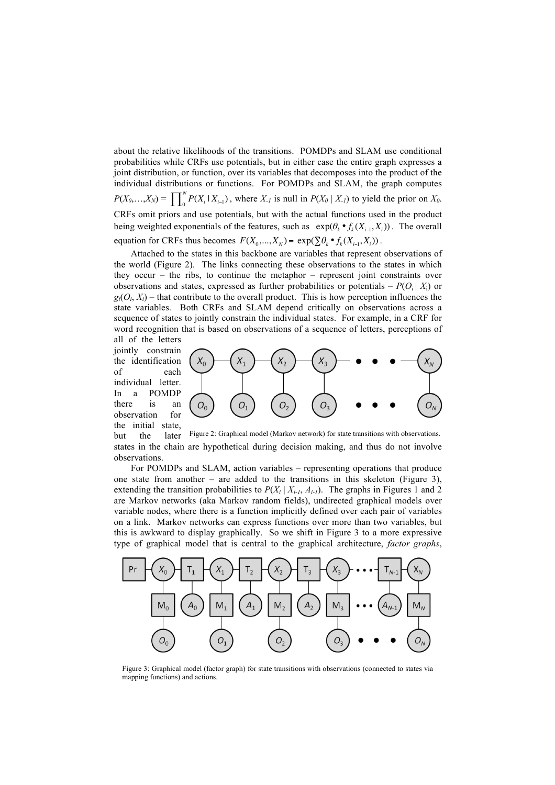about the relative likelihoods of the transitions. POMDPs and SLAM use conditional probabilities while CRFs use potentials, but in either case the entire graph expresses a joint distribution, or function, over its variables that decomposes into the product of the individual distributions or functions. For POMDPs and SLAM, the graph computes  $P(X_0,...,X_N) = \prod_{i=0}^N P(X_i | X_{i-1})$ , where  $X_i$  is null in  $P(X_0 | X_i)$  to yield the prior on  $X_0$ . CRFs omit priors and use potentials, but with the actual functions used in the product being weighted exponentials of the features, such as  $exp(\theta_k \cdot f_k(X_{i-1}, X_i))$ . The overall equation for CRFs thus becomes  $F(X_0, \ldots, X_N) = \exp(\sum \theta_k \cdot f_k(X_{i-1}, X_i))$ .

Attached to the states in this backbone are variables that represent observations of the world (Figure 2). The links connecting these observations to the states in which they occur – the ribs, to continue the metaphor – represent joint constraints over observations and states, expressed as further probabilities or potentials  $- P(O_i | X_i)$  or  $g_l$ ( $O_i$ ,  $X_i$ ) – that contribute to the overall product. This is how perception influences the state variables. Both CRFs and SLAM depend critically on observations across a sequence of states to jointly constrain the individual states. For example, in a CRF for word recognition that is based on observations of a sequence of letters, perceptions of all of the letters

jointly constrain the identification of each individual letter. In a POMDP there is an observation for the initial state,



but the later states in the chain are hypothetical during decision making, and thus do not involve observations. Figure 2: Graphical model (Markov network) for state transitions with observations.

For POMDPs and SLAM, action variables – representing operations that produce one state from another – are added to the transitions in this skeleton (Figure 3), extending the transition probabilities to  $P(X_i | X_{i-1}, A_{i-1})$ . The graphs in Figures 1 and 2 are Markov networks (aka Markov random fields), undirected graphical models over variable nodes, where there is a function implicitly defined over each pair of variables on a link. Markov networks can express functions over more than two variables, but this is awkward to display graphically. So we shift in Figure 3 to a more expressive type of graphical model that is central to the graphical architecture, *factor graphs*,



Figure 3: Graphical model (factor graph) for state transitions with observations (connected to states via mapping functions) and actions.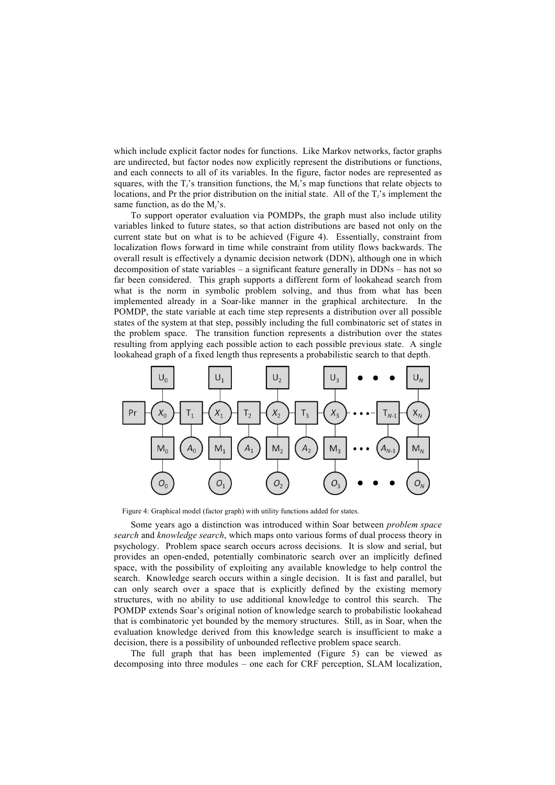which include explicit factor nodes for functions. Like Markov networks, factor graphs are undirected, but factor nodes now explicitly represent the distributions or functions, and each connects to all of its variables. In the figure, factor nodes are represented as squares, with the  $T_i$ 's transition functions, the  $M_i$ 's map functions that relate objects to locations, and Pr the prior distribution on the initial state. All of the T*i*'s implement the same function, as do the M*i*'s.

To support operator evaluation via POMDPs, the graph must also include utility variables linked to future states, so that action distributions are based not only on the current state but on what is to be achieved (Figure 4). Essentially, constraint from localization flows forward in time while constraint from utility flows backwards. The overall result is effectively a dynamic decision network (DDN), although one in which decomposition of state variables – a significant feature generally in DDNs – has not so far been considered. This graph supports a different form of lookahead search from what is the norm in symbolic problem solving, and thus from what has been implemented already in a Soar-like manner in the graphical architecture. In the POMDP, the state variable at each time step represents a distribution over all possible states of the system at that step, possibly including the full combinatoric set of states in the problem space. The transition function represents a distribution over the states resulting from applying each possible action to each possible previous state. A single lookahead graph of a fixed length thus represents a probabilistic search to that depth.



Figure 4: Graphical model (factor graph) with utility functions added for states.

Some years ago a distinction was introduced within Soar between *problem space search* and *knowledge search*, which maps onto various forms of dual process theory in psychology. Problem space search occurs across decisions. It is slow and serial, but provides an open-ended, potentially combinatoric search over an implicitly defined space, with the possibility of exploiting any available knowledge to help control the search. Knowledge search occurs within a single decision. It is fast and parallel, but can only search over a space that is explicitly defined by the existing memory structures, with no ability to use additional knowledge to control this search. The POMDP extends Soar's original notion of knowledge search to probabilistic lookahead that is combinatoric yet bounded by the memory structures. Still, as in Soar, when the evaluation knowledge derived from this knowledge search is insufficient to make a decision, there is a possibility of unbounded reflective problem space search.

The full graph that has been implemented (Figure 5) can be viewed as decomposing into three modules – one each for CRF perception, SLAM localization,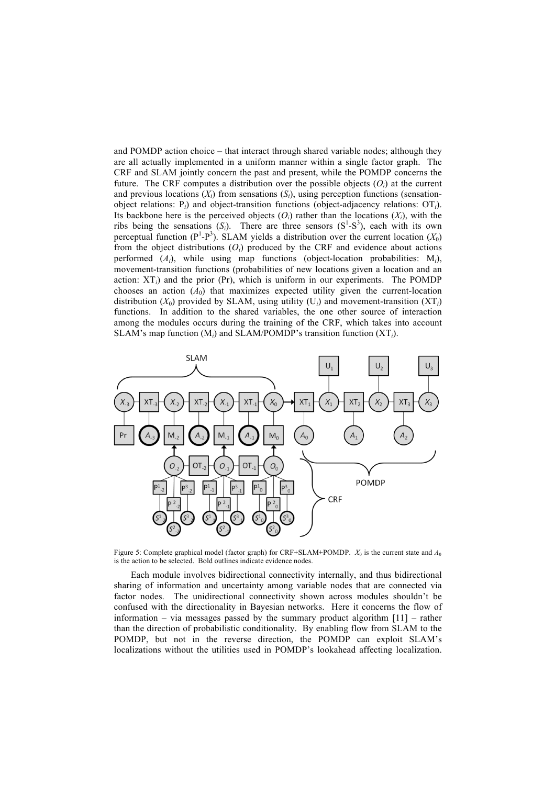and POMDP action choice – that interact through shared variable nodes; although they are all actually implemented in a uniform manner within a single factor graph. The CRF and SLAM jointly concern the past and present, while the POMDP concerns the future. The CRF computes a distribution over the possible objects  $(O<sub>i</sub>)$  at the current and previous locations  $(X_i)$  from sensations  $(S_i)$ , using perception functions (sensationobject relations: P*i*) and object-transition functions (object-adjacency relations: OT*i*). Its backbone here is the perceived objects  $(O_i)$  rather than the locations  $(X_i)$ , with the ribs being the sensations  $(S_i)$ . There are three sensors  $(S^1-S^3)$ , each with its own perceptual function  $(P^1-P^3)$ . SLAM yields a distribution over the current location  $(X_0)$ from the object distributions (*Oi*) produced by the CRF and evidence about actions performed  $(A_i)$ , while using map functions (object-location probabilities:  $M_i$ ), movement-transition functions (probabilities of new locations given a location and an action:  $XT_i$ ) and the prior (Pr), which is uniform in our experiments. The POMDP chooses an action  $(A_0)$  that maximizes expected utility given the current-location distribution  $(X_0)$  provided by SLAM, using utility  $(U_i)$  and movement-transition  $(XT_i)$ functions. In addition to the shared variables, the one other source of interaction among the modules occurs during the training of the CRF, which takes into account SLAM's map function (M*i*) and SLAM/POMDP's transition function (XT*i*).



Figure 5: Complete graphical model (factor graph) for CRF+SLAM+POMDP.  $X_0$  is the current state and  $A_0$ is the action to be selected. Bold outlines indicate evidence nodes.

Each module involves bidirectional connectivity internally, and thus bidirectional sharing of information and uncertainty among variable nodes that are connected via factor nodes. The unidirectional connectivity shown across modules shouldn't be confused with the directionality in Bayesian networks. Here it concerns the flow of information – via messages passed by the summary product algorithm [11] – rather than the direction of probabilistic conditionality. By enabling flow from SLAM to the POMDP, but not in the reverse direction, the POMDP can exploit SLAM's localizations without the utilities used in POMDP's lookahead affecting localization.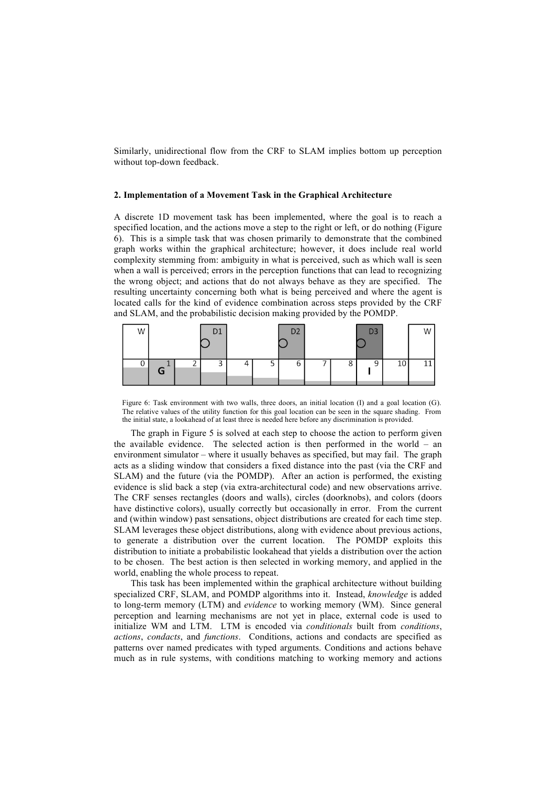Similarly, unidirectional flow from the CRF to SLAM implies bottom up perception without top-down feedback.

## **2. Implementation of a Movement Task in the Graphical Architecture**

A discrete 1D movement task has been implemented, where the goal is to reach a specified location, and the actions move a step to the right or left, or do nothing (Figure 6). This is a simple task that was chosen primarily to demonstrate that the combined graph works within the graphical architecture; however, it does include real world complexity stemming from: ambiguity in what is perceived, such as which wall is seen when a wall is perceived; errors in the perception functions that can lead to recognizing the wrong object; and actions that do not always behave as they are specified. The resulting uncertainty concerning both what is being perceived and where the agent is located calls for the kind of evidence combination across steps provided by the CRF and SLAM, and the probabilistic decision making provided by the POMDP.



Figure 6: Task environment with two walls, three doors, an initial location (I) and a goal location (G). The relative values of the utility function for this goal location can be seen in the square shading. From the initial state, a lookahead of at least three is needed here before any discrimination is provided.

The graph in Figure 5 is solved at each step to choose the action to perform given the available evidence. The selected action is then performed in the world – an environment simulator – where it usually behaves as specified, but may fail. The graph acts as a sliding window that considers a fixed distance into the past (via the CRF and SLAM) and the future (via the POMDP). After an action is performed, the existing evidence is slid back a step (via extra-architectural code) and new observations arrive. The CRF senses rectangles (doors and walls), circles (doorknobs), and colors (doors have distinctive colors), usually correctly but occasionally in error. From the current and (within window) past sensations, object distributions are created for each time step. SLAM leverages these object distributions, along with evidence about previous actions, to generate a distribution over the current location. The POMDP exploits this distribution to initiate a probabilistic lookahead that yields a distribution over the action to be chosen. The best action is then selected in working memory, and applied in the world, enabling the whole process to repeat.

This task has been implemented within the graphical architecture without building specialized CRF, SLAM, and POMDP algorithms into it. Instead, *knowledge* is added to long-term memory (LTM) and *evidence* to working memory (WM). Since general perception and learning mechanisms are not yet in place, external code is used to initialize WM and LTM. LTM is encoded via *conditionals* built from *conditions*, *actions*, *condacts*, and *functions*. Conditions, actions and condacts are specified as patterns over named predicates with typed arguments. Conditions and actions behave much as in rule systems, with conditions matching to working memory and actions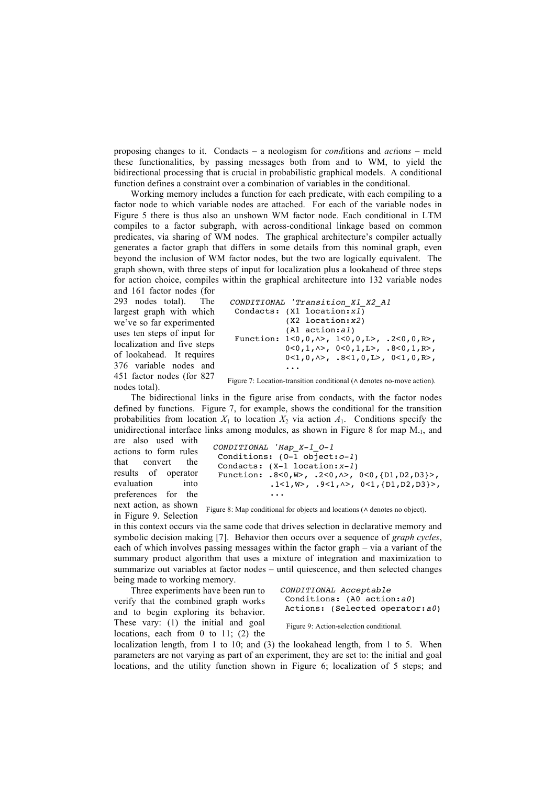proposing changes to it. Condacts – a neologism for *cond*itions and *act*ion*s* – meld these functionalities, by passing messages both from and to WM, to yield the bidirectional processing that is crucial in probabilistic graphical models. A conditional function defines a constraint over a combination of variables in the conditional.

Working memory includes a function for each predicate, with each compiling to a factor node to which variable nodes are attached. For each of the variable nodes in Figure 5 there is thus also an unshown WM factor node. Each conditional in LTM compiles to a factor subgraph, with across-conditional linkage based on common predicates, via sharing of WM nodes. The graphical architecture's compiler actually generates a factor graph that differs in some details from this nominal graph, even beyond the inclusion of WM factor nodes, but the two are logically equivalent. The graph shown, with three steps of input for localization plus a lookahead of three steps for action choice, compiles within the graphical architecture into 132 variable nodes

and 161 factor nodes (for 293 nodes total). The largest graph with which we've so far experimented uses ten steps of input for localization and five steps of lookahead. It requires 376 variable nodes and 451 factor nodes (for 827 nodes total).

```
CONDITIONAL 'Transition_X1_X2_A1
Condacts: (X1 location:x1)
           (X2 location:x2)
           (A1 action:a1)
Function: 1<0,0,∧>, 1<0,0,L>, .2<0,0,R>,
 0<0,1,∧>, 0<0,1,L>, .8<0,1,R>,
 0<1,0,∧>, .8<1,0,L>, 0<1,0,R>,
           ...
```
Figure 7: Location-transition conditional (∧ denotes no-move action).

The bidirectional links in the figure arise from condacts, with the factor nodes defined by functions. Figure 7, for example, shows the conditional for the transition probabilities from location  $X_1$  to location  $X_2$  via action  $A_1$ . Conditions specify the unidirectional interface links among modules, as shown in Figure 8 for map  $M_{-1}$ , and

are also used with actions to form rules that convert the results of operator evaluation into preferences for the next action, as shown

in Figure 9. Selection

```
CONDITIONAL 'Map_X-1_O-1
Conditions: (O-1 object:o-1)
Condacts: (X-1 location:x-1)
Function: .8<0,W>, .2<0,∧>, 0<0,{D1,D2,D3}>,
            .1<1,W>, .9<1,∧>, 0<1,{D1,D2,D3}>,
    ...
```
Figure 8: Map conditional for objects and locations (∧ denotes no object).

in this context occurs via the same code that drives selection in declarative memory and symbolic decision making [7]. Behavior then occurs over a sequence of *graph cycles*, each of which involves passing messages within the factor graph – via a variant of the summary product algorithm that uses a mixture of integration and maximization to summarize out variables at factor nodes – until quiescence, and then selected changes being made to working memory.

Three experiments have been run to verify that the combined graph works and to begin exploring its behavior. These vary: (1) the initial and goal locations, each from 0 to 11; (2) the

```
CONDITIONAL Acceptable
 Conditions: (A0 action:a0)
 Actions: (Selected operator:a0)
```
## Figure 9: Action-selection conditional.

localization length, from 1 to 10; and (3) the lookahead length, from 1 to 5. When parameters are not varying as part of an experiment, they are set to: the initial and goal locations, and the utility function shown in Figure 6; localization of 5 steps; and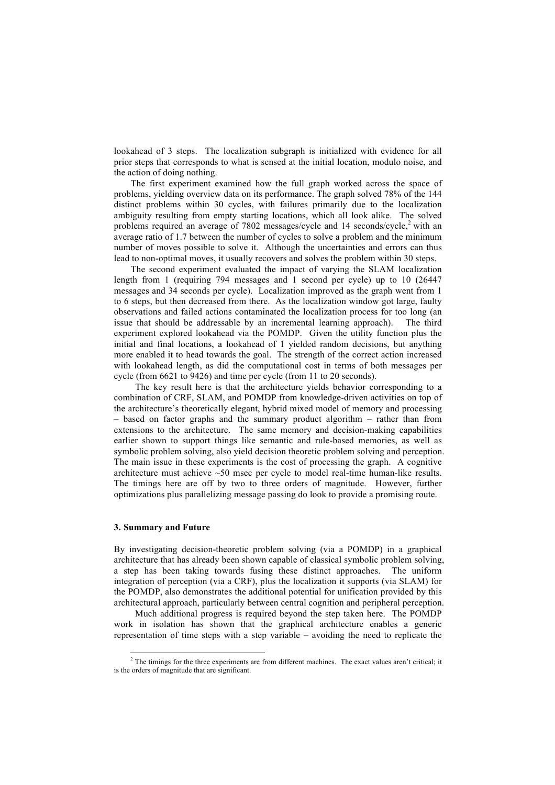lookahead of 3 steps. The localization subgraph is initialized with evidence for all prior steps that corresponds to what is sensed at the initial location, modulo noise, and the action of doing nothing.

The first experiment examined how the full graph worked across the space of problems, yielding overview data on its performance. The graph solved 78% of the 144 distinct problems within 30 cycles, with failures primarily due to the localization ambiguity resulting from empty starting locations, which all look alike. The solved problems required an average of 7802 messages/cycle and 14 seconds/cycle, <sup>2</sup> with an average ratio of 1.7 between the number of cycles to solve a problem and the minimum number of moves possible to solve it. Although the uncertainties and errors can thus lead to non-optimal moves, it usually recovers and solves the problem within 30 steps.

The second experiment evaluated the impact of varying the SLAM localization length from 1 (requiring 794 messages and 1 second per cycle) up to 10 (26447 messages and 34 seconds per cycle). Localization improved as the graph went from 1 to 6 steps, but then decreased from there. As the localization window got large, faulty observations and failed actions contaminated the localization process for too long (an issue that should be addressable by an incremental learning approach). The third experiment explored lookahead via the POMDP. Given the utility function plus the initial and final locations, a lookahead of 1 yielded random decisions, but anything more enabled it to head towards the goal. The strength of the correct action increased with lookahead length, as did the computational cost in terms of both messages per cycle (from 6621 to 9426) and time per cycle (from 11 to 20 seconds).

 The key result here is that the architecture yields behavior corresponding to a combination of CRF, SLAM, and POMDP from knowledge-driven activities on top of the architecture's theoretically elegant, hybrid mixed model of memory and processing – based on factor graphs and the summary product algorithm – rather than from extensions to the architecture. The same memory and decision-making capabilities earlier shown to support things like semantic and rule-based memories, as well as symbolic problem solving, also yield decision theoretic problem solving and perception. The main issue in these experiments is the cost of processing the graph. A cognitive architecture must achieve ~50 msec per cycle to model real-time human-like results. The timings here are off by two to three orders of magnitude. However, further optimizations plus parallelizing message passing do look to provide a promising route.

## **3. Summary and Future**

By investigating decision-theoretic problem solving (via a POMDP) in a graphical architecture that has already been shown capable of classical symbolic problem solving, a step has been taking towards fusing these distinct approaches. The uniform integration of perception (via a CRF), plus the localization it supports (via SLAM) for the POMDP, also demonstrates the additional potential for unification provided by this architectural approach, particularly between central cognition and peripheral perception.

Much additional progress is required beyond the step taken here. The POMDP work in isolation has shown that the graphical architecture enables a generic representation of time steps with a step variable – avoiding the need to replicate the

<sup>&</sup>lt;sup>2</sup> The timings for the three experiments are from different machines. The exact values aren't critical; it is the orders of magnitude that are significant.